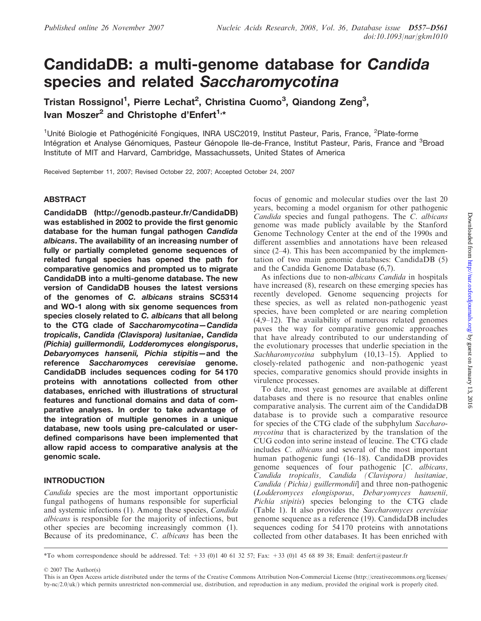# CandidaDB: a multi-genome database for Candida species and related Saccharomycotina

Tristan Rossignol<sup>1</sup>, Pierre Lechat<sup>2</sup>, Christina Cuomo<sup>3</sup>, Qiandong Zeng<sup>3</sup>, Ivan Moszer<sup>2</sup> and Christophe d'Enfert<sup>1,\*</sup>

<sup>1</sup>Unité Biologie et Pathogénicité Fongiques, INRA USC2019, Institut Pasteur, Paris, France, <sup>2</sup>Plate-forme Intégration et Analyse Génomiques, Pasteur Génopole Ile-de-France, Institut Pasteur, Paris, France and <sup>3</sup>Broad Institute of MIT and Harvard, Cambridge, Massachussets, United States of America

Received September 11, 2007; Revised October 22, 2007; Accepted October 24, 2007

# ABSTRACT

CandidaDB ([http://genodb.pasteur.fr/CandidaDB\)](http://genodb.pasteur.fr/CandidaDB) was established in 2002 to provide the first genomic database for the human fungal pathogen Candida albicans. The availability of an increasing number of fully or partially completed genome sequences of related fungal species has opened the path for comparative genomics and prompted us to migrate CandidaDB into a multi-genome database. The new version of CandidaDB houses the latest versions of the genomes of C. albicans strains SC5314 and WO-1 along with six genome sequences from species closely related to C. albicans that all belong to the CTG clade of Saccharomycotina—Candida tropicalis, Candida (Clavispora) lusitaniae, Candida (Pichia) guillermondii, Lodderomyces elongisporus, Debaryomyces hansenii, Pichia stipitis—and the reference Saccharomyces cerevisiae genome. CandidaDB includes sequences coding for 54 170 proteins with annotations collected from other databases, enriched with illustrations of structural features and functional domains and data of comparative analyses. In order to take advantage of the integration of multiple genomes in a unique database, new tools using pre-calculated or userdefined comparisons have been implemented that allow rapid access to comparative analysis at the genomic scale.

# INTRODUCTION

Candida species are the most important opportunistic fungal pathogens of humans responsible for superficial and systemic infections (1). Among these species, Candida albicans is responsible for the majority of infections, but other species are becoming increasingly common (1). Because of its predominance, C. albicans has been the

focus of genomic and molecular studies over the last 20 years, becoming a model organism for other pathogenic Candida species and fungal pathogens. The C. albicans genome was made publicly available by the Stanford Genome Technology Center at the end of the 1990s and different assemblies and annotations have been released since  $(2-4)$ . This has been accompanied by the implementation of two main genomic databases: CandidaDB (5) and the Candida Genome Database (6,7).

As infections due to non-albicans Candida in hospitals have increased  $(8)$ , research on these emerging species has recently developed. Genome sequencing projects for these species, as well as related non-pathogenic yeast species, have been completed or are nearing completion (4,9–12). The availability of numerous related genomes paves the way for comparative genomic approaches that have already contributed to our understanding of the evolutionary processes that underlie speciation in the Sachharomycotina subphylum (10,13–15). Applied to closely-related pathogenic and non-pathogenic yeast species, comparative genomics should provide insights in virulence processes.

To date, most yeast genomes are available at different databases and there is no resource that enables online comparative analysis. The current aim of the CandidaDB database is to provide such a comparative resource for species of the CTG clade of the subphylum Saccharomycotina that is characterized by the translation of the CUG codon into serine instead of leucine. The CTG clade includes C. albicans and several of the most important human pathogenic fungi (16–18). CandidaDB provides genome sequences of four pathogenic [C. albicans, Candida tropicalis, Candida (Clavispora) lusitaniae, Candida (Pichia) guillermondii] and three non-pathogenic (Lodderomyces elongisporus, Debaryomyces hansenii, Pichia stipitis) species belonging to the CTG clade (Table 1). It also provides the Saccharomyces cerevisiae genome sequence as a reference (19). CandidaDB includes sequences coding for 54 170 proteins with annotations collected from other databases. It has been enriched with

\*To whom correspondence should be addressed. Tel: +33 (0)1 40 61 32 57; Fax: +33 (0)1 45 68 89 38; Email: denfert@pasteur.fr

2007 The Author(s)

This is an Open Access article distributed under the terms of the Creative Commons Attribution Non-Commercial License (<http://creativecommons.org/licenses/> by-nc/2.0/uk/) which permits unrestricted non-commercial use, distribution, and reproduction in any medium, provided the original work is properly cited.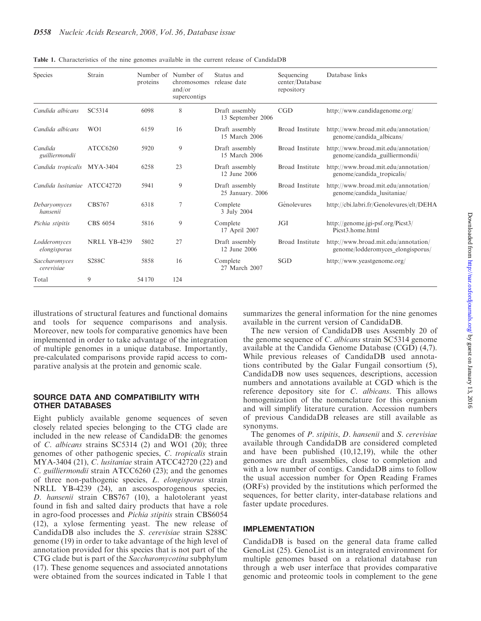| Species                      | Strain              | Number of<br>proteins | Number of<br>chromosomes<br>and/or<br>supercontigs | Status and<br>release date          | Sequencing<br>center/Database<br>repository | Database links                                                            |
|------------------------------|---------------------|-----------------------|----------------------------------------------------|-------------------------------------|---------------------------------------------|---------------------------------------------------------------------------|
| Candida albicans             | SC5314              | 6098                  | 8                                                  | Draft assembly<br>13 September 2006 | CGD                                         | http://www.candidagenome.org/                                             |
| Candida albicans             | W <sub>O1</sub>     | 6159                  | 16                                                 | Draft assembly<br>15 March 2006     | Broad Institute                             | http://www.broad.mit.edu/annotation/<br>genome/candida albicans/          |
| Candida<br>guilliermondii    | ATCC6260            | 5920                  | 9                                                  | Draft assembly<br>15 March 2006     | Broad Institute                             | http://www.broad.mit.edu/annotation/<br>genome/candida guilliermondii/    |
| Candida tropicalis MYA-3404  |                     | 6258                  | 23                                                 | Draft assembly<br>12 June 2006      | Broad Institute                             | http://www.broad.mit.edu/annotation/<br>genome/candida tropicalis/        |
| Candida lusitaniae ATCC42720 |                     | 5941                  | 9                                                  | Draft assembly<br>25 January. 2006  | Broad Institute                             | http://www.broad.mit.edu/annotation/<br>genome/candida lusitaniae/        |
| Debaryomyces<br>hansenii     | <b>CBS767</b>       | 6318                  | 7                                                  | Complete<br>3 July 2004             | Génolevures                                 | http://cbi.labri.fr/Genolevures/elt/DEHA                                  |
| Pichia stipitis              | CBS 6054            | 5816                  | 9                                                  | Complete<br>17 April 2007           | JGI                                         | http://genome.jgi-psf.org/Picst3/<br>Picst <sub>3</sub> .home.html        |
| Lodderomyces<br>elongisporus | <b>NRLL YB-4239</b> | 5802                  | 27                                                 | Draft assembly<br>12 June 2006      | Broad Institute                             | http://www.broad.mit.edu/annotation/<br>genome/lodderomyces elongisporus/ |
| Saccharomyces<br>cerevisiae  | S288C               | 5858                  | 16                                                 | Complete<br>27 March 2007           | <b>SGD</b>                                  | http://www.yeastgenome.org/                                               |
| Total                        | 9                   | 54 170                | 124                                                |                                     |                                             |                                                                           |

Table 1. Characteristics of the nine genomes available in the current release of CandidaDB

illustrations of structural features and functional domains and tools for sequence comparisons and analysis. Moreover, new tools for comparative genomics have been implemented in order to take advantage of the integration of multiple genomes in a unique database. Importantly, pre-calculated comparisons provide rapid access to comparative analysis at the protein and genomic scale.

#### SOURCE DATA AND COMPATIBILITY WITH OTHER DATABASES

Eight publicly available genome sequences of seven closely related species belonging to the CTG clade are included in the new release of CandidaDB: the genomes of C. albicans strains SC5314 (2) and WO1 (20); three genomes of other pathogenic species, C. tropicalis strain MYA-3404 (21), C. lusitaniae strain ATCC42720 (22) and C. guilliermondii strain ATCC6260 (23); and the genomes of three non-pathogenic species, L. elongisporus strain NRLL YB-4239 (24), an ascososporogenous species, D. hansenii strain CBS767 (10), a halotolerant yeast found in fish and salted dairy products that have a role in agro-food processes and Pichia stipitis strain CBS6054 (12), a xylose fermenting yeast. The new release of CandidaDB also includes the S. cerevisiae strain S288C genome (19) in order to take advantage of the high level of annotation provided for this species that is not part of the CTG clade but is part of the Saccharomycotina subphylum (17). These genome sequences and associated annotations were obtained from the sources indicated in Table 1 that

summarizes the general information for the nine genomes available in the current version of CandidaDB.

The new version of CandidaDB uses Assembly 20 of the genome sequence of C. *albicans* strain SC5314 genome available at the Candida Genome Database (CGD) (4,7). While previous releases of CandidaDB used annotations contributed by the Galar Fungail consortium (5), CandidaDB now uses sequences, descriptions, accession numbers and annotations available at CGD which is the reference depository site for C. albicans. This allows homogenization of the nomenclature for this organism and will simplify literature curation. Accession numbers of previous CandidaDB releases are still available as synonyms.

The genomes of *P. stipitis, D. hansenii* and *S. cerevisiae* available through CandidaDB are considered completed and have been published (10,12,19), while the other genomes are draft assemblies, close to completion and with a low number of contigs. CandidaDB aims to follow the usual accession number for Open Reading Frames (ORFs) provided by the institutions which performed the sequences, for better clarity, inter-database relations and faster update procedures.

#### IMPLEMENTATION

CandidaDB is based on the general data frame called GenoList (25). GenoList is an integrated environment for multiple genomes based on a relational database run through a web user interface that provides comparative genomic and proteomic tools in complement to the gene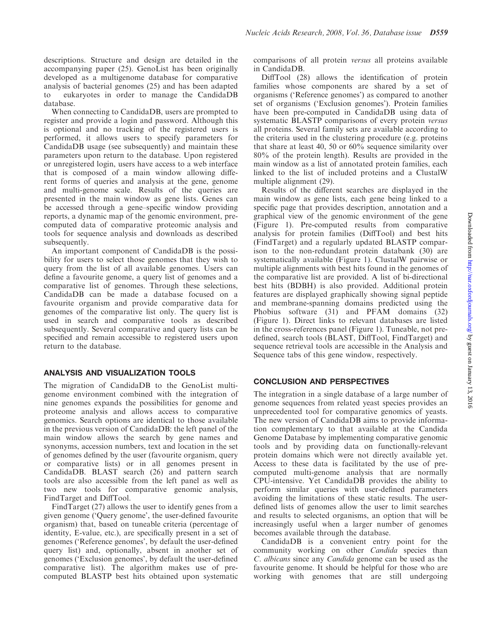descriptions. Structure and design are detailed in the accompanying paper (25). GenoList has been originally developed as a multigenome database for comparative analysis of bacterial genomes (25) and has been adapted to eukaryotes in order to manage the CandidaDB database.

When connecting to CandidaDB, users are prompted to register and provide a login and password. Although this is optional and no tracking of the registered users is performed, it allows users to specify parameters for CandidaDB usage (see subsequently) and maintain these parameters upon return to the database. Upon registered or unregistered login, users have access to a web interface that is composed of a main window allowing different forms of queries and analysis at the gene, genome and multi-genome scale. Results of the queries are presented in the main window as gene lists. Genes can be accessed through a gene–specific window providing reports, a dynamic map of the genomic environment, precomputed data of comparative proteomic analysis and tools for sequence analysis and downloads as described subsequently.

An important component of CandidaDB is the possibility for users to select those genomes that they wish to query from the list of all available genomes. Users can define a favourite genome, a query list of genomes and a comparative list of genomes. Through these selections, CandidaDB can be made a database focused on a favourite organism and provide comparative data for genomes of the comparative list only. The query list is used in search and comparative tools as described subsequently. Several comparative and query lists can be specified and remain accessible to registered users upon return to the database.

# ANALYSIS AND VISUALIZATION TOOLS

The migration of CandidaDB to the GenoList multigenome environment combined with the integration of nine genomes expands the possibilities for genome and proteome analysis and allows access to comparative genomics. Search options are identical to those available in the previous version of CandidaDB: the left panel of the main window allows the search by gene names and synonyms, accession numbers, text and location in the set of genomes defined by the user (favourite organism, query or comparative lists) or in all genomes present in CandidaDB. BLAST search (26) and pattern search tools are also accessible from the left panel as well as two new tools for comparative genomic analysis, FindTarget and DiffTool.

FindTarget (27) allows the user to identify genes from a given genome ('Query genome', the user-defined favourite organism) that, based on tuneable criteria (percentage of identity, E-value, etc.), are specifically present in a set of genomes ('Reference genomes', by default the user-defined query list) and, optionally, absent in another set of genomes ('Exclusion genomes', by default the user-defined comparative list). The algorithm makes use of precomputed BLASTP best hits obtained upon systematic

comparisons of all protein versus all proteins available in CandidaDB.

DiffTool (28) allows the identification of protein families whose components are shared by a set of organisms ('Reference genomes') as compared to another set of organisms ('Exclusion genomes'). Protein families have been pre-computed in CandidaDB using data of systematic BLASTP comparisons of every protein versus all proteins. Several family sets are available according to the criteria used in the clustering procedure (e.g. proteins that share at least 40, 50 or  $60\%$  sequence similarity over 80% of the protein length). Results are provided in the main window as a list of annotated protein families, each linked to the list of included proteins and a ClustalW multiple alignment (29).

Results of the different searches are displayed in the main window as gene lists, each gene being linked to a specific page that provides description, annotation and a graphical view of the genomic environment of the gene (Figure 1). Pre-computed results from comparative analysis for protein families (DiffTool) and best hits (FindTarget) and a regularly updated BLASTP comparison to the non-redundant protein databank (30) are systematically available (Figure 1). ClustalW pairwise or multiple alignments with best hits found in the genomes of the comparative list are provided. A list of bi-directional best hits (BDBH) is also provided. Additional protein features are displayed graphically showing signal peptide and membrane-spanning domains predicted using the Phobius software (31) and PFAM domains (32) (Figure 1). Direct links to relevant databases are listed in the cross-references panel (Figure 1). Tuneable, not predefined, search tools (BLAST, DiffTool, FindTarget) and sequence retrieval tools are accessible in the Analysis and Sequence tabs of this gene window, respectively.

# CONCLUSION AND PERSPECTIVES

The integration in a single database of a large number of genome sequences from related yeast species provides an unprecedented tool for comparative genomics of yeasts. The new version of CandidaDB aims to provide information complementary to that available at the Candida Genome Database by implementing comparative genomic tools and by providing data on functionally-relevant protein domains which were not directly available yet. Access to these data is facilitated by the use of precomputed multi-genome analysis that are normally CPU-intensive. Yet CandidaDB provides the ability to perform similar queries with user-defined parameters avoiding the limitations of these static results. The userdefined lists of genomes allow the user to limit searches and results to selected organisms, an option that will be increasingly useful when a larger number of genomes becomes available through the database.

CandidaDB is a convenient entry point for the community working on other *Candida* species than C. albicans since any Candida genome can be used as the favourite genome. It should be helpful for those who are working with genomes that are still undergoing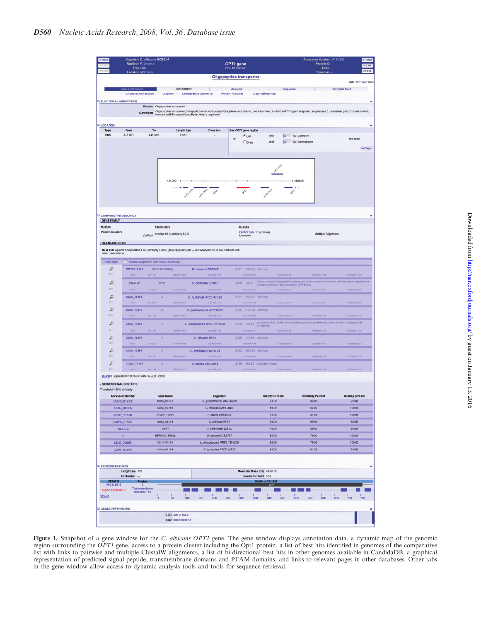| Organism C. albicans SC5314<br>< DNA<br>Replicon R (chrom.)<br>Type CDS |                                                |                                       | <b>OPT1 gene</b><br>2352 bp (783 aa) |                                                                                                                                                                                               |                                                    | Accession Number of 19,2602<br>Protein ID<br>Label $-1$ | > DNA<br>$>$ List                                                                                      |                        |
|-------------------------------------------------------------------------|------------------------------------------------|---------------------------------------|--------------------------------------|-----------------------------------------------------------------------------------------------------------------------------------------------------------------------------------------------|----------------------------------------------------|---------------------------------------------------------|--------------------------------------------------------------------------------------------------------|------------------------|
|                                                                         | Location 443.35 kb                             |                                       |                                      |                                                                                                                                                                                               | - Oligopeptide transporter-                        |                                                         | Synonym -/                                                                                             | $+18$                  |
|                                                                         |                                                |                                       |                                      |                                                                                                                                                                                               |                                                    |                                                         |                                                                                                        | With / Without Tabs    |
|                                                                         | Gene and Product<br>Functional Annotation      | Location                              | Bibliography                         | Comparative Genomics - Protein Features                                                                                                                                                       | Analysis<br>Cross-References<br>$\frac{1}{2}$      | Sequence                                                |                                                                                                        | <b>Printable Card</b>  |
| <b>D FUNCTIONAL ANNOTATION</b>                                          |                                                |                                       |                                      |                                                                                                                                                                                               |                                                    |                                                         |                                                                                                        | A                      |
|                                                                         |                                                | Product Oligopeptide transporter      |                                      |                                                                                                                                                                                               |                                                    |                                                         |                                                                                                        |                        |
|                                                                         |                                                |                                       |                                      | Comments Oligopeptide transporter; transports 3-b-5- residue peptides; alleles are distinct, one has intron; not ABC or PTR type transporter; suppresses S. cerevisiae ptr2-2 mutant defects; |                                                    |                                                         |                                                                                                        |                        |
| <b>Q LOCATION</b>                                                       |                                                |                                       |                                      |                                                                                                                                                                                               |                                                    |                                                         |                                                                                                        | ۸                      |
| Type<br><b>CDS</b>                                                      | From<br>441,001                                | To<br>443,352                         | Length (bp)<br>2,352                 | <b>Direction</b>                                                                                                                                                                              | See OPT1 gene region                               | with<br>10<br>(kb) upstream                             |                                                                                                        |                        |
|                                                                         |                                                |                                       |                                      |                                                                                                                                                                                               | $F$ List<br>in<br>C Draw                           | 10<br>and                                               | (kb) downstream                                                                                        | the gene               |
|                                                                         |                                                |                                       |                                      |                                                                                                                                                                                               |                                                    |                                                         |                                                                                                        | See Region             |
|                                                                         |                                                |                                       |                                      |                                                                                                                                                                                               |                                                    |                                                         |                                                                                                        |                        |
|                                                                         |                                                |                                       |                                      |                                                                                                                                                                                               |                                                    |                                                         |                                                                                                        |                        |
|                                                                         |                                                |                                       |                                      |                                                                                                                                                                                               |                                                    |                                                         |                                                                                                        |                        |
|                                                                         |                                                |                                       | 431000                               |                                                                                                                                                                                               |                                                    | $+ 450999$                                              |                                                                                                        |                        |
|                                                                         |                                                |                                       |                                      | castles as the past                                                                                                                                                                           |                                                    |                                                         |                                                                                                        |                        |
|                                                                         |                                                |                                       |                                      |                                                                                                                                                                                               |                                                    |                                                         |                                                                                                        |                        |
|                                                                         |                                                |                                       |                                      |                                                                                                                                                                                               |                                                    |                                                         |                                                                                                        |                        |
| <b>GOMPARATIVE GENOMICS</b>                                             |                                                |                                       |                                      |                                                                                                                                                                                               |                                                    |                                                         |                                                                                                        | ۵                      |
| - GENE FAMILY                                                           |                                                |                                       |                                      |                                                                                                                                                                                               |                                                    |                                                         |                                                                                                        |                        |
| Method<br><b>Protein Clusters</b>                                       |                                                | Parameters                            |                                      |                                                                                                                                                                                               | <b>Results</b><br>FAM29546 (11 proteins)           |                                                         |                                                                                                        |                        |
|                                                                         |                                                | DiffTool overlap 80 % similarity 60 % |                                      |                                                                                                                                                                                               | Unknown                                            |                                                         | Multiple Alignment                                                                                     |                        |
| - DATABASE SCAN                                                         |                                                |                                       |                                      |                                                                                                                                                                                               |                                                    |                                                         |                                                                                                        |                        |
| other parameters)                                                       |                                                |                                       |                                      | Best Hits against Comparative List - similarity > 30% (default parameters -- see 'Analysis' tab to run methods with                                                                           |                                                    |                                                         |                                                                                                        |                        |
| FindTarget                                                              | Multiple Alignment with Hits (8 Best Hits)     |                                       |                                      |                                                                                                                                                                                               |                                                    |                                                         |                                                                                                        |                        |
| ₽                                                                       | DEC7CC-0824                                    | <b>DEHA0C18062a</b>                   |                                      | D. hansenii CBS767                                                                                                                                                                            | 2331 1484.75 Unknown                               |                                                         |                                                                                                        |                        |
| 画                                                                       | $4 + 0.0$                                      | 841121                                | 100429-00                            | <b>KSHSPHTS</b>                                                                                                                                                                               | 500mm)-67                                          | %Shombill0<br>--                                        | %O(min)+100                                                                                            | <b>NO(Hax)=100</b>     |
| Q                                                                       | YJL212C                                        | OPTT                                  |                                      | S. cerevisiae S288C                                                                                                                                                                           |                                                    |                                                         | 2400 36.25 Proton-coupled oligopeptide transporter of the plasma membrane, also transports glutathione |                        |
| m                                                                       | $4 + 0.0$                                      | $1 - 148$                             | <b>NUHBPH39</b>                      | 5.5045P3-57                                                                                                                                                                                   | <b>Silvanois36</b>                                 | %S nom0=53                                              | <b>SOMMONS</b>                                                                                         | NO (max) + 50          |
| R<br>面                                                                  | CLUG_01594<br>$4 + 0.0$                        | W.<br>$B + 1074$                      | <b>БЛНОРУ-06</b>                     | C. lusitaniae ATCC 42720<br><b>KSHSPH79</b>                                                                                                                                                   | 2511 757.98 Unknown<br>Silpermistil                | 53(rom)-76                                              | %O(min)+55                                                                                             | SO(max)-83             |
| Q                                                                       | COUG_03873                                     | sh.                                   |                                      | C. guilliermondii ATCC6260                                                                                                                                                                    | 2355 1128.39 Unknown                               |                                                         |                                                                                                        |                        |
| 压                                                                       | 490.0                                          | $5 - 1118$                            | sipspyer                             | 55915PJ-73                                                                                                                                                                                    | Silvieni-68                                        | %Sinomin79                                              | $SO(mn)+100$                                                                                           | 160 (max) = 103        |
| R                                                                       | <b>LELG_00065</b>                              | W.                                    |                                      | L. elongisporus NRRL YB-4239                                                                                                                                                                  |                                                    |                                                         | 2415 191.45 gene encoding Lodderomyces elongisporus hypothetical protein similar to oligopeptide       |                        |
| 国                                                                       | 440.0                                          | S-1184                                | SURBPAGE                             | 5.595PH78                                                                                                                                                                                     | RJ (mines) 21                                      | <b>N.Singerout2</b><br>__                               | SOjminji4100                                                                                           | SOmas)<103<br>---      |
| R<br>皿                                                                  | CAMG_01549<br>$4 + 0.0$                        | цh<br>$1 - 121$                       | <b>WINDPIRE</b>                      | C. albicans WO-1<br>5.501077-00                                                                                                                                                               | 2409 445.99 Unknown<br>тациино-пи.                 | N.Sansmir03                                             | SOINAGH100                                                                                             | NO(max)=30             |
| Q                                                                       | CTRG_00886                                     | W.                                    |                                      | C. tropicalis MYA-3404                                                                                                                                                                        | 2382 1992.60 Unknown                               |                                                         |                                                                                                        |                        |
| E                                                                       | $1 - 0.6$                                      | SH1373                                | <b>SUBSERIES</b>                     | <b>SSHOPHIT</b>                                                                                                                                                                               | <b>TLAVIS ENGINEERS</b>                            | <b>N.S.Incombribal</b>                                  | S.Olman In 503                                                                                         | <b>S.Dimaxiv 100</b>   |
| q                                                                       | PICST_73580                                    | sh                                    |                                      | P. stipitis CBS 6054                                                                                                                                                                          | 2349 585.23 predicted protein                      |                                                         |                                                                                                        |                        |
| <b>THE</b>                                                              | $6 - 0.0$                                      | 545176                                | SUHBP>70                             | sayanyan                                                                                                                                                                                      | $Uncount - 70$                                     | 165 (nomini) 1                                          | <b>N.O.Imain Jar 100</b>                                                                               | %O(max)=100            |
|                                                                         | BLASTP against NRPROT (run date: Aug 20, 2007) |                                       |                                      |                                                                                                                                                                                               |                                                    |                                                         |                                                                                                        |                        |
| - BIDIRECTIONAL BEST HITS<br>Threshold > 30% similarity                 |                                                |                                       |                                      |                                                                                                                                                                                               |                                                    |                                                         |                                                                                                        |                        |
|                                                                         | <b>Accession Number</b>                        | <b>Gene Name</b>                      |                                      | Organism                                                                                                                                                                                      |                                                    | <b>Identity Percent</b>                                 | <b>Similarity Percent</b>                                                                              | <b>Overlap percent</b> |
|                                                                         |                                                | CGUG 03873                            |                                      | C. guilliermondii ATCC6260                                                                                                                                                                    |                                                    | 70.00                                                   | 82.00                                                                                                  | 95.00                  |
| CGUG_03873                                                              |                                                | CTRG OUBBS                            |                                      | C. tropicalis MYA-3404<br>P. stipitis CBS 6054                                                                                                                                                |                                                    | 80.00<br>70.00                                          | 87.00<br>81.00                                                                                         | 100.00<br>100.00       |
| <b>CTRG 00886</b>                                                       |                                                |                                       |                                      |                                                                                                                                                                                               |                                                    |                                                         |                                                                                                        | 30.00                  |
| PICST_73580                                                             |                                                | PICST_73580                           |                                      |                                                                                                                                                                                               |                                                    |                                                         |                                                                                                        |                        |
| CAWG_01549<br><b>YJL212C</b>                                            |                                                | CANG_01549<br>OPT1                    |                                      | C. albicans WO-1<br>S. cerevisiae S288C                                                                                                                                                       |                                                    | 98.00<br>40.00                                          | 99.00<br>59.00                                                                                         | 90.00                  |
| $-1$                                                                    |                                                | DEHA0C18062g                          |                                      | D. hansenil CBS767                                                                                                                                                                            |                                                    | 66.00                                                   | 79.00                                                                                                  | 100.00                 |
| <b>LELG_00065</b>                                                       |                                                | LELG_00065                            |                                      | L. elongisporus NRRL YB-4239                                                                                                                                                                  |                                                    | 68.00                                                   | 78.00                                                                                                  | 100.00                 |
| CLUG_01594                                                              |                                                | CLUG_01594                            |                                      | C. Iusitaniae ATCC 42720                                                                                                                                                                      |                                                    | 68.00                                                   | 81.00                                                                                                  | 89.00                  |
|                                                                         |                                                |                                       |                                      |                                                                                                                                                                                               |                                                    |                                                         |                                                                                                        |                        |
|                                                                         |                                                |                                       |                                      |                                                                                                                                                                                               |                                                    |                                                         |                                                                                                        |                        |
|                                                                         | Length (aa) 783                                |                                       |                                      |                                                                                                                                                                                               | Molecular Mass (Da) 88397.36                       |                                                         |                                                                                                        |                        |
| <b>D</b> PROTEIN FEATURES<br><b>PFAMID</b>                              | EC Number +<br>P-value                         |                                       |                                      |                                                                                                                                                                                               | <b>Isoelectric Point 6.52</b><br>Motifs orf19.2602 |                                                         |                                                                                                        | Δ                      |
| PF03169.6<br>Signal Peptide= 0                                          | Transmembrane                                  |                                       |                                      |                                                                                                                                                                                               |                                                    | OPT                                                     |                                                                                                        |                        |
| SCALE                                                                   | $domains = 14$                                 |                                       | 100<br>50                            | 150<br>.<br>200                                                                                                                                                                               | 400<br><b>knn</b><br>350                           | 450                                                     | 550<br>650<br>600                                                                                      | 750<br>700             |

Figure 1. Snapshot of a gene window for the C. albicans OPT1 gene. The gene window displays annotation data, a dynamic map of the genomic region surrounding the OPT1 gene, access to a protein cluster including the Opt1 protein, a list of best hits identified in genomes of the comparative list with links to pairwise and multiple ClustalW alignments, a list of bi-directional best hits in other genomes available in CandidaDB, a graphical representation of predicted signal peptide, transmembrane domains and PFAM domains, and links to relevant pages in other databases. Other tabs in the gene window allow access to dynamic analysis tools and tools for sequence retrieval.